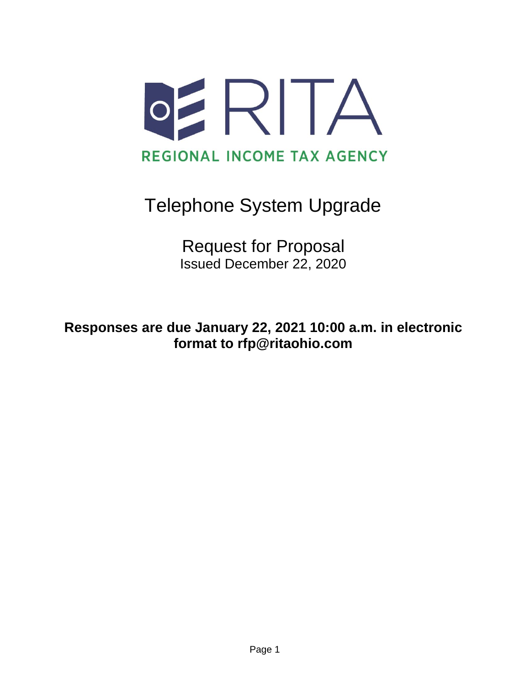

# Telephone System Upgrade

Request for Proposal Issued December 22, 2020

**Responses are due January 22, 2021 10:00 a.m. in electronic format to rfp@ritaohio.com**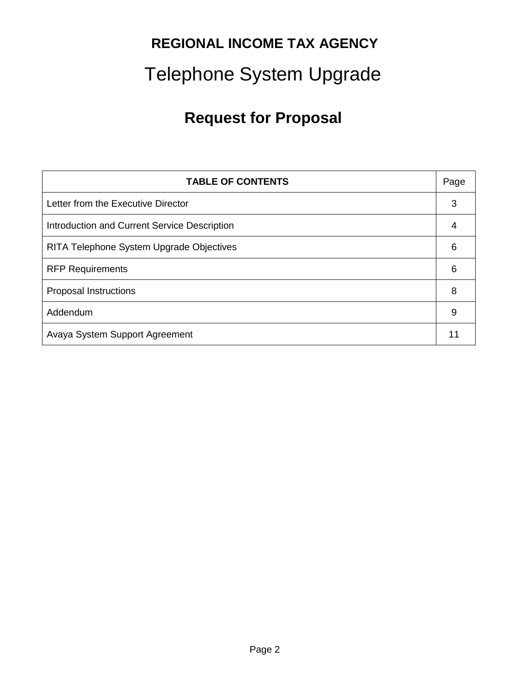## **REGIONAL INCOME TAX AGENCY**

# Telephone System Upgrade

# **Request for Proposal**

| <b>TABLE OF CONTENTS</b>                     | Page |
|----------------------------------------------|------|
| Letter from the Executive Director           | 3    |
| Introduction and Current Service Description | 4    |
| RITA Telephone System Upgrade Objectives     | 6    |
| <b>RFP Requirements</b>                      | 6    |
| <b>Proposal Instructions</b>                 | 8    |
| Addendum                                     | 9    |
| Avaya System Support Agreement               | 11   |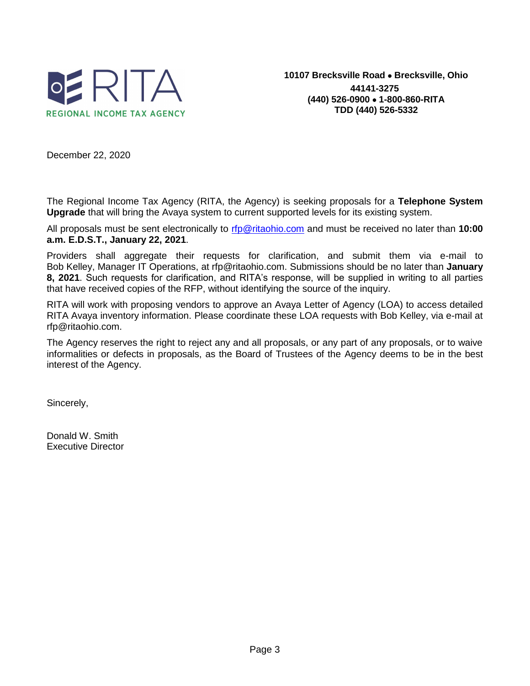

December 22, 2020

The Regional Income Tax Agency (RITA, the Agency) is seeking proposals for a **Telephone System Upgrade** that will bring the Avaya system to current supported levels for its existing system.

All proposals must be sent electronically to [rfp@ritaohio.com](mailto:rfp@ritaohio.com) and must be received no later than **10:00 a.m. E.D.S.T., January 22, 2021**.

Providers shall aggregate their requests for clarification, and submit them via e-mail to Bob Kelley, Manager IT Operations, at rfp@ritaohio.com. Submissions should be no later than **January 8, 2021**. Such requests for clarification, and RITA's response, will be supplied in writing to all parties that have received copies of the RFP, without identifying the source of the inquiry.

RITA will work with proposing vendors to approve an Avaya Letter of Agency (LOA) to access detailed RITA Avaya inventory information. Please coordinate these LOA requests with Bob Kelley, via e-mail at rfp@ritaohio.com.

The Agency reserves the right to reject any and all proposals, or any part of any proposals, or to waive informalities or defects in proposals, as the Board of Trustees of the Agency deems to be in the best interest of the Agency.

Sincerely,

Donald W. Smith Executive Director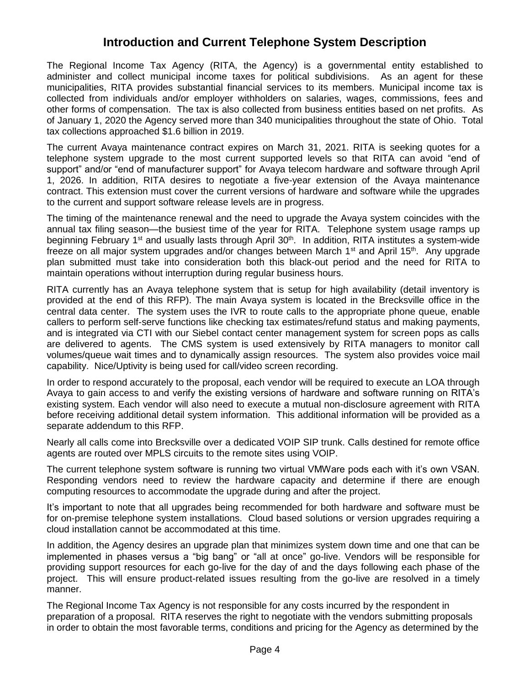#### **Introduction and Current Telephone System Description**

The Regional Income Tax Agency (RITA, the Agency) is a governmental entity established to administer and collect municipal income taxes for political subdivisions. As an agent for these municipalities, RITA provides substantial financial services to its members. Municipal income tax is collected from individuals and/or employer withholders on salaries, wages, commissions, fees and other forms of compensation. The tax is also collected from business entities based on net profits. As of January 1, 2020 the Agency served more than 340 municipalities throughout the state of Ohio. Total tax collections approached \$1.6 billion in 2019.

The current Avaya maintenance contract expires on March 31, 2021. RITA is seeking quotes for a telephone system upgrade to the most current supported levels so that RITA can avoid "end of support" and/or "end of manufacturer support" for Avaya telecom hardware and software through April 1, 2026. In addition, RITA desires to negotiate a five-year extension of the Avaya maintenance contract. This extension must cover the current versions of hardware and software while the upgrades to the current and support software release levels are in progress.

The timing of the maintenance renewal and the need to upgrade the Avaya system coincides with the annual tax filing season—the busiest time of the year for RITA. Telephone system usage ramps up beginning February 1<sup>st</sup> and usually lasts through April 30<sup>th</sup>. In addition, RITA institutes a system-wide freeze on all major system upgrades and/or changes between March 1<sup>st</sup> and April 15<sup>th</sup>. Any upgrade plan submitted must take into consideration both this black-out period and the need for RITA to maintain operations without interruption during regular business hours.

RITA currently has an Avaya telephone system that is setup for high availability (detail inventory is provided at the end of this RFP). The main Avaya system is located in the Brecksville office in the central data center. The system uses the IVR to route calls to the appropriate phone queue, enable callers to perform self-serve functions like checking tax estimates/refund status and making payments, and is integrated via CTI with our Siebel contact center management system for screen pops as calls are delivered to agents. The CMS system is used extensively by RITA managers to monitor call volumes/queue wait times and to dynamically assign resources. The system also provides voice mail capability. Nice/Uptivity is being used for call/video screen recording.

In order to respond accurately to the proposal, each vendor will be required to execute an LOA through Avaya to gain access to and verify the existing versions of hardware and software running on RITA's existing system. Each vendor will also need to execute a mutual non-disclosure agreement with RITA before receiving additional detail system information. This additional information will be provided as a separate addendum to this RFP.

Nearly all calls come into Brecksville over a dedicated VOIP SIP trunk. Calls destined for remote office agents are routed over MPLS circuits to the remote sites using VOIP.

The current telephone system software is running two virtual VMWare pods each with it's own VSAN. Responding vendors need to review the hardware capacity and determine if there are enough computing resources to accommodate the upgrade during and after the project.

It's important to note that all upgrades being recommended for both hardware and software must be for on-premise telephone system installations. Cloud based solutions or version upgrades requiring a cloud installation cannot be accommodated at this time.

In addition, the Agency desires an upgrade plan that minimizes system down time and one that can be implemented in phases versus a "big bang" or "all at once" go-live. Vendors will be responsible for providing support resources for each go-live for the day of and the days following each phase of the project. This will ensure product-related issues resulting from the go-live are resolved in a timely manner.

The Regional Income Tax Agency is not responsible for any costs incurred by the respondent in preparation of a proposal. RITA reserves the right to negotiate with the vendors submitting proposals in order to obtain the most favorable terms, conditions and pricing for the Agency as determined by the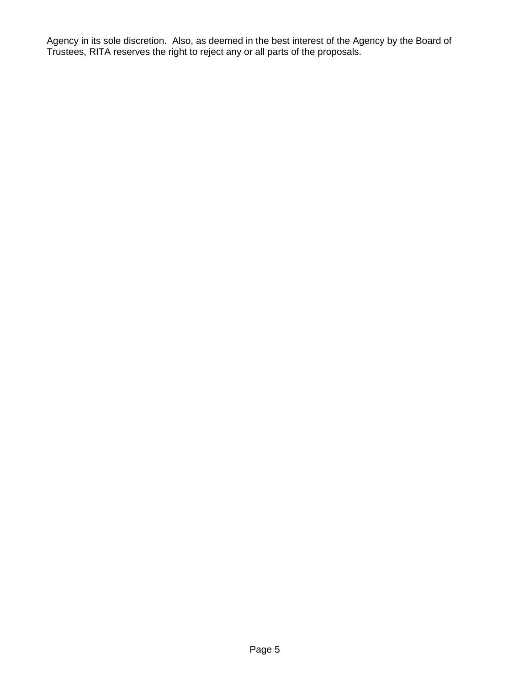Agency in its sole discretion. Also, as deemed in the best interest of the Agency by the Board of Trustees, RITA reserves the right to reject any or all parts of the proposals.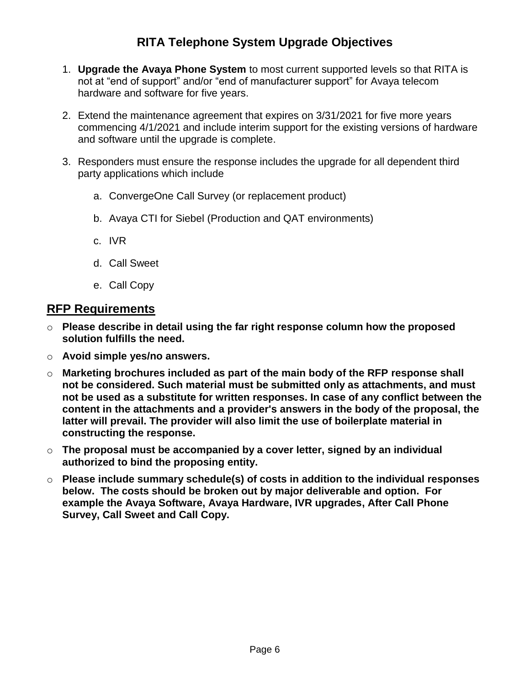### **RITA Telephone System Upgrade Objectives**

- 1. **Upgrade the Avaya Phone System** to most current supported levels so that RITA is not at "end of support" and/or "end of manufacturer support" for Avaya telecom hardware and software for five years.
- 2. Extend the maintenance agreement that expires on 3/31/2021 for five more years commencing 4/1/2021 and include interim support for the existing versions of hardware and software until the upgrade is complete.
- 3. Responders must ensure the response includes the upgrade for all dependent third party applications which include
	- a. ConvergeOne Call Survey (or replacement product)
	- b. Avaya CTI for Siebel (Production and QAT environments)
	- c. IVR
	- d. Call Sweet
	- e. Call Copy

#### **RFP Requirements**

- o **Please describe in detail using the far right response column how the proposed solution fulfills the need.**
- o **Avoid simple yes/no answers.**
- o **Marketing brochures included as part of the main body of the RFP response shall not be considered. Such material must be submitted only as attachments, and must not be used as a substitute for written responses. In case of any conflict between the content in the attachments and a provider's answers in the body of the proposal, the latter will prevail. The provider will also limit the use of boilerplate material in constructing the response.**
- o **The proposal must be accompanied by a cover letter, signed by an individual authorized to bind the proposing entity.**
- o **Please include summary schedule(s) of costs in addition to the individual responses below. The costs should be broken out by major deliverable and option. For example the Avaya Software, Avaya Hardware, IVR upgrades, After Call Phone Survey, Call Sweet and Call Copy.**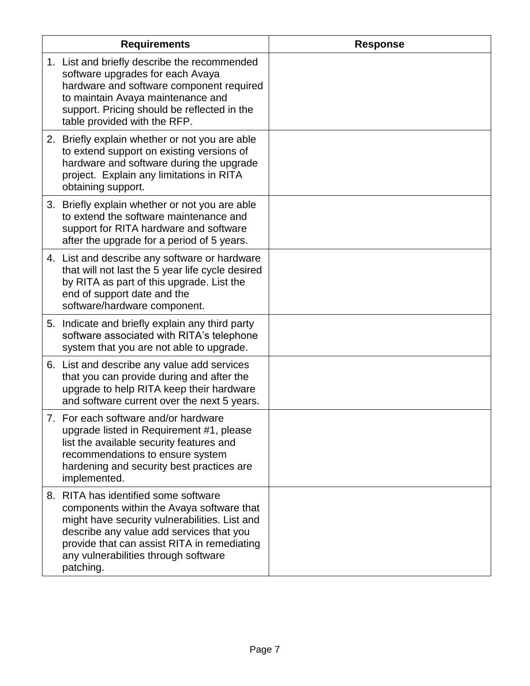| <b>Requirements</b>                                                                                                                                                                                                                                                                | <b>Response</b> |
|------------------------------------------------------------------------------------------------------------------------------------------------------------------------------------------------------------------------------------------------------------------------------------|-----------------|
| 1. List and briefly describe the recommended<br>software upgrades for each Avaya<br>hardware and software component required<br>to maintain Avaya maintenance and<br>support. Pricing should be reflected in the<br>table provided with the RFP.                                   |                 |
| 2. Briefly explain whether or not you are able<br>to extend support on existing versions of<br>hardware and software during the upgrade<br>project. Explain any limitations in RITA<br>obtaining support.                                                                          |                 |
| 3. Briefly explain whether or not you are able<br>to extend the software maintenance and<br>support for RITA hardware and software<br>after the upgrade for a period of 5 years.                                                                                                   |                 |
| 4. List and describe any software or hardware<br>that will not last the 5 year life cycle desired<br>by RITA as part of this upgrade. List the<br>end of support date and the<br>software/hardware component.                                                                      |                 |
| 5. Indicate and briefly explain any third party<br>software associated with RITA's telephone<br>system that you are not able to upgrade.                                                                                                                                           |                 |
| 6. List and describe any value add services<br>that you can provide during and after the<br>upgrade to help RITA keep their hardware<br>and software current over the next 5 years.                                                                                                |                 |
| 7. For each software and/or hardware<br>upgrade listed in Requirement #1, please<br>list the available security features and<br>recommendations to ensure system<br>hardening and security best practices are<br>implemented.                                                      |                 |
| 8. RITA has identified some software<br>components within the Avaya software that<br>might have security vulnerabilities. List and<br>describe any value add services that you<br>provide that can assist RITA in remediating<br>any vulnerabilities through software<br>patching. |                 |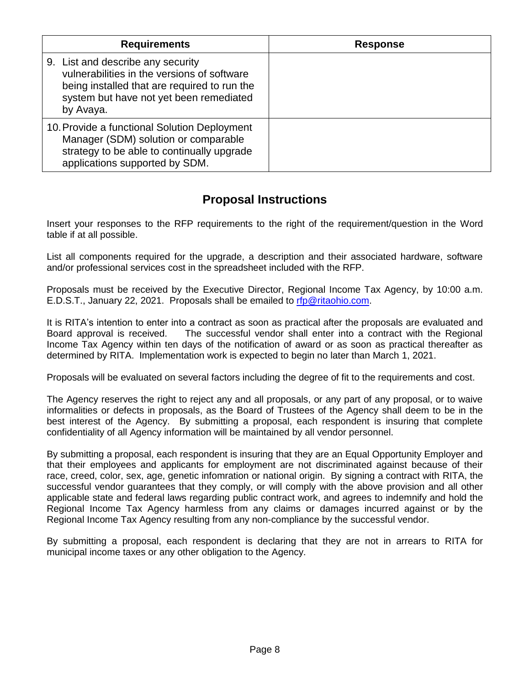| <b>Requirements</b>                                                                                                                                                                      | <b>Response</b> |
|------------------------------------------------------------------------------------------------------------------------------------------------------------------------------------------|-----------------|
| 9. List and describe any security<br>vulnerabilities in the versions of software<br>being installed that are required to run the<br>system but have not yet been remediated<br>by Avaya. |                 |
| 10. Provide a functional Solution Deployment<br>Manager (SDM) solution or comparable<br>strategy to be able to continually upgrade<br>applications supported by SDM.                     |                 |

### **Proposal Instructions**

Insert your responses to the RFP requirements to the right of the requirement/question in the Word table if at all possible.

List all components required for the upgrade, a description and their associated hardware, software and/or professional services cost in the spreadsheet included with the RFP.

Proposals must be received by the Executive Director, Regional Income Tax Agency, by 10:00 a.m. E.D.S.T., January 22, 2021. Proposals shall be emailed to [rfp@ritaohio.com.](mailto:rfp@ritaohio.com)

It is RITA's intention to enter into a contract as soon as practical after the proposals are evaluated and Board approval is received. The successful vendor shall enter into a contract with the Regional Income Tax Agency within ten days of the notification of award or as soon as practical thereafter as determined by RITA. Implementation work is expected to begin no later than March 1, 2021.

Proposals will be evaluated on several factors including the degree of fit to the requirements and cost.

The Agency reserves the right to reject any and all proposals, or any part of any proposal, or to waive informalities or defects in proposals, as the Board of Trustees of the Agency shall deem to be in the best interest of the Agency. By submitting a proposal, each respondent is insuring that complete confidentiality of all Agency information will be maintained by all vendor personnel.

By submitting a proposal, each respondent is insuring that they are an Equal Opportunity Employer and that their employees and applicants for employment are not discriminated against because of their race, creed, color, sex, age, genetic infomration or national origin. By signing a contract with RITA, the successful vendor guarantees that they comply, or will comply with the above provision and all other applicable state and federal laws regarding public contract work, and agrees to indemnify and hold the Regional Income Tax Agency harmless from any claims or damages incurred against or by the Regional Income Tax Agency resulting from any non-compliance by the successful vendor.

By submitting a proposal, each respondent is declaring that they are not in arrears to RITA for municipal income taxes or any other obligation to the Agency.